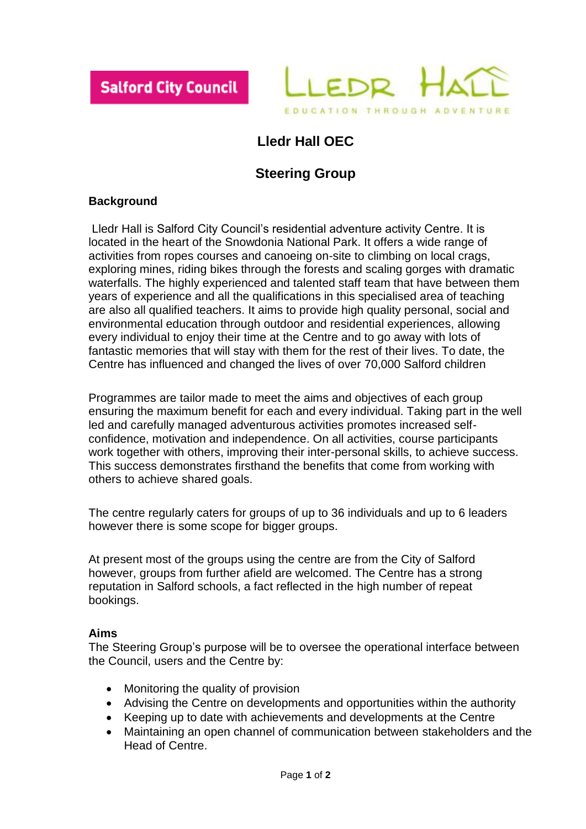



# **Lledr Hall OEC**

## **Steering Group**

### **Background**

Lledr Hall is Salford City Council's residential adventure activity Centre. It is located in the heart of the Snowdonia National Park. It offers a wide range of activities from ropes courses and canoeing on-site to climbing on local crags, exploring mines, riding bikes through the forests and scaling gorges with dramatic waterfalls. The highly experienced and talented staff team that have between them years of experience and all the qualifications in this specialised area of teaching are also all qualified teachers. It aims to provide high quality personal, social and environmental education through outdoor and residential experiences, allowing every individual to enjoy their time at the Centre and to go away with lots of fantastic memories that will stay with them for the rest of their lives. To date, the Centre has influenced and changed the lives of over 70,000 Salford children

Programmes are tailor made to meet the aims and objectives of each group ensuring the maximum benefit for each and every individual. Taking part in the well led and carefully managed adventurous activities promotes increased selfconfidence, motivation and independence. On all activities, course participants work together with others, improving their inter-personal skills, to achieve success. This success demonstrates firsthand the benefits that come from working with others to achieve shared goals.

The centre regularly caters for groups of up to 36 individuals and up to 6 leaders however there is some scope for bigger groups.

At present most of the groups using the centre are from the City of Salford however, groups from further afield are welcomed. The Centre has a strong reputation in Salford schools, a fact reflected in the high number of repeat bookings.

#### **Aims**

The Steering Group's purpose will be to oversee the operational interface between the Council, users and the Centre by:

- Monitoring the quality of provision
- Advising the Centre on developments and opportunities within the authority
- Keeping up to date with achievements and developments at the Centre
- Maintaining an open channel of communication between stakeholders and the Head of Centre.